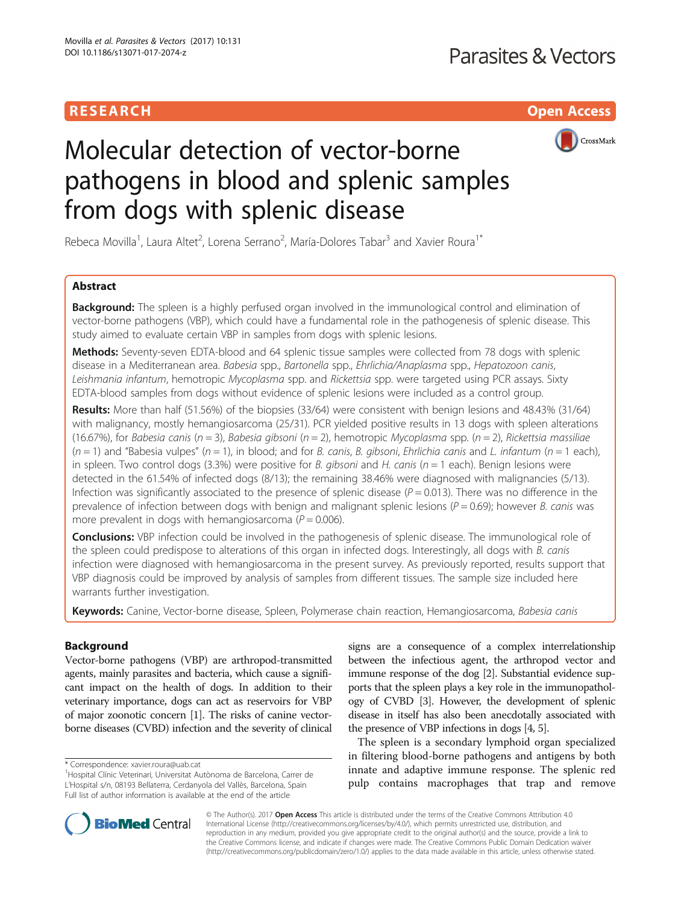## **RESEARCH CHILD CONTROL** CONTROL CONTROL CONTROL CONTROL CONTROL CONTROL CONTROL CONTROL CONTROL CONTROL CONTROL



# Molecular detection of vector-borne pathogens in blood and splenic samples from dogs with splenic disease

Rebeca Movilla<sup>1</sup>, Laura Altet<sup>2</sup>, Lorena Serrano<sup>2</sup>, María-Dolores Tabar<sup>3</sup> and Xavier Roura<sup>1\*</sup>

## Abstract

**Background:** The spleen is a highly perfused organ involved in the immunological control and elimination of vector-borne pathogens (VBP), which could have a fundamental role in the pathogenesis of splenic disease. This study aimed to evaluate certain VBP in samples from dogs with splenic lesions.

Methods: Seventy-seven EDTA-blood and 64 splenic tissue samples were collected from 78 dogs with splenic disease in a Mediterranean area. Babesia spp., Bartonella spp., Ehrlichia/Anaplasma spp., Hepatozoon canis, Leishmania infantum, hemotropic Mycoplasma spp. and Rickettsia spp. were targeted using PCR assays. Sixty EDTA-blood samples from dogs without evidence of splenic lesions were included as a control group.

Results: More than half (51.56%) of the biopsies (33/64) were consistent with benign lesions and 48.43% (31/64) with malignancy, mostly hemangiosarcoma (25/31). PCR yielded positive results in 13 dogs with spleen alterations (16.67%), for Babesia canis (n = 3), Babesia gibsoni (n = 2), hemotropic Mycoplasma spp. (n = 2), Rickettsia massiliae  $(n = 1)$  and "Babesia vulpes" ( $n = 1$ ), in blood; and for B. canis, B. gibsoni, Ehrlichia canis and L. infantum ( $n = 1$  each), in spleen. Two control dogs (3.3%) were positive for B. gibsoni and H. canis ( $n = 1$  each). Benign lesions were detected in the 61.54% of infected dogs (8/13); the remaining 38.46% were diagnosed with malignancies (5/13). Infection was significantly associated to the presence of splenic disease ( $P = 0.013$ ). There was no difference in the prevalence of infection between dogs with benign and malignant splenic lesions ( $P = 0.69$ ); however B. canis was more prevalent in dogs with hemangiosarcoma ( $P = 0.006$ ).

Conclusions: VBP infection could be involved in the pathogenesis of splenic disease. The immunological role of the spleen could predispose to alterations of this organ in infected dogs. Interestingly, all dogs with B. canis infection were diagnosed with hemangiosarcoma in the present survey. As previously reported, results support that VBP diagnosis could be improved by analysis of samples from different tissues. The sample size included here warrants further investigation.

Keywords: Canine, Vector-borne disease, Spleen, Polymerase chain reaction, Hemangiosarcoma, Babesia canis

## Background

Vector-borne pathogens (VBP) are arthropod-transmitted agents, mainly parasites and bacteria, which cause a significant impact on the health of dogs. In addition to their veterinary importance, dogs can act as reservoirs for VBP of major zoonotic concern [\[1\]](#page-6-0). The risks of canine vectorborne diseases (CVBD) infection and the severity of clinical signs are a consequence of a complex interrelationship between the infectious agent, the arthropod vector and immune response of the dog [\[2](#page-6-0)]. Substantial evidence supports that the spleen plays a key role in the immunopathology of CVBD [\[3\]](#page-6-0). However, the development of splenic disease in itself has also been anecdotally associated with the presence of VBP infections in dogs [\[4](#page-6-0), [5](#page-6-0)].

The spleen is a secondary lymphoid organ specialized in filtering blood-borne pathogens and antigens by both innate and adaptive immune response. The splenic red pulp contains macrophages that trap and remove



© The Author(s). 2017 **Open Access** This article is distributed under the terms of the Creative Commons Attribution 4.0 International License [\(http://creativecommons.org/licenses/by/4.0/](http://creativecommons.org/licenses/by/4.0/)), which permits unrestricted use, distribution, and reproduction in any medium, provided you give appropriate credit to the original author(s) and the source, provide a link to the Creative Commons license, and indicate if changes were made. The Creative Commons Public Domain Dedication waiver [\(http://creativecommons.org/publicdomain/zero/1.0/](http://creativecommons.org/publicdomain/zero/1.0/)) applies to the data made available in this article, unless otherwise stated.

<sup>\*</sup> Correspondence: [xavier.roura@uab.cat](mailto:xavier.roura@uab.cat) <sup>1</sup>

<sup>&</sup>lt;sup>1</sup>Hospital Clínic Veterinari, Universitat Autònoma de Barcelona, Carrer de L'Hospital s/n, 08193 Bellaterra, Cerdanyola del Vallès, Barcelona, Spain Full list of author information is available at the end of the article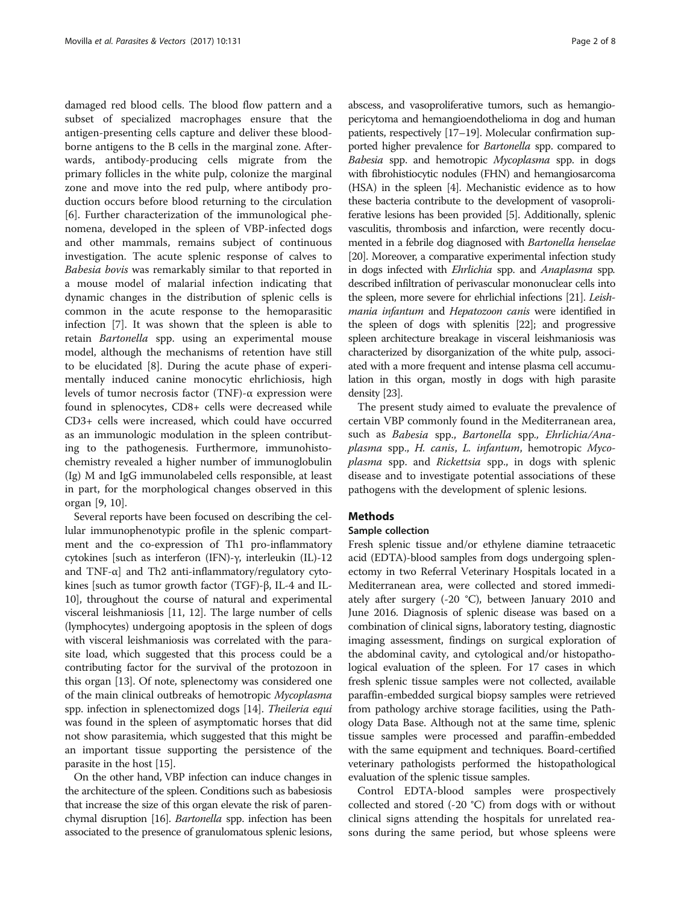damaged red blood cells. The blood flow pattern and a subset of specialized macrophages ensure that the antigen-presenting cells capture and deliver these bloodborne antigens to the B cells in the marginal zone. Afterwards, antibody-producing cells migrate from the primary follicles in the white pulp, colonize the marginal zone and move into the red pulp, where antibody production occurs before blood returning to the circulation [[6\]](#page-6-0). Further characterization of the immunological phenomena, developed in the spleen of VBP-infected dogs and other mammals, remains subject of continuous investigation. The acute splenic response of calves to Babesia bovis was remarkably similar to that reported in a mouse model of malarial infection indicating that dynamic changes in the distribution of splenic cells is common in the acute response to the hemoparasitic infection [[7\]](#page-6-0). It was shown that the spleen is able to retain Bartonella spp. using an experimental mouse model, although the mechanisms of retention have still to be elucidated [[8\]](#page-6-0). During the acute phase of experimentally induced canine monocytic ehrlichiosis, high levels of tumor necrosis factor (TNF)-α expression were found in splenocytes, CD8+ cells were decreased while CD3+ cells were increased, which could have occurred as an immunologic modulation in the spleen contributing to the pathogenesis. Furthermore, immunohistochemistry revealed a higher number of immunoglobulin (Ig) M and IgG immunolabeled cells responsible, at least in part, for the morphological changes observed in this organ [\[9](#page-6-0), [10\]](#page-6-0).

Several reports have been focused on describing the cellular immunophenotypic profile in the splenic compartment and the co-expression of Th1 pro-inflammatory cytokines [such as interferon (IFN)-γ, interleukin (IL)-12 and TNF- $\alpha$ ] and Th2 anti-inflammatory/regulatory cytokines [such as tumor growth factor (TGF)-β, IL-4 and IL-10], throughout the course of natural and experimental visceral leishmaniosis [\[11, 12](#page-6-0)]. The large number of cells (lymphocytes) undergoing apoptosis in the spleen of dogs with visceral leishmaniosis was correlated with the parasite load, which suggested that this process could be a contributing factor for the survival of the protozoon in this organ [\[13](#page-6-0)]. Of note, splenectomy was considered one of the main clinical outbreaks of hemotropic Mycoplasma spp. infection in splenectomized dogs [\[14\]](#page-6-0). Theileria equi was found in the spleen of asymptomatic horses that did not show parasitemia, which suggested that this might be an important tissue supporting the persistence of the parasite in the host [[15](#page-6-0)].

On the other hand, VBP infection can induce changes in the architecture of the spleen. Conditions such as babesiosis that increase the size of this organ elevate the risk of parenchymal disruption [\[16\]](#page-6-0). Bartonella spp. infection has been associated to the presence of granulomatous splenic lesions,

abscess, and vasoproliferative tumors, such as hemangiopericytoma and hemangioendothelioma in dog and human patients, respectively [\[17](#page-6-0)–[19\]](#page-6-0). Molecular confirmation supported higher prevalence for Bartonella spp. compared to Babesia spp. and hemotropic Mycoplasma spp. in dogs with fibrohistiocytic nodules (FHN) and hemangiosarcoma (HSA) in the spleen [\[4\]](#page-6-0). Mechanistic evidence as to how these bacteria contribute to the development of vasoproliferative lesions has been provided [\[5\]](#page-6-0). Additionally, splenic vasculitis, thrombosis and infarction, were recently documented in a febrile dog diagnosed with Bartonella henselae [[20](#page-6-0)]. Moreover, a comparative experimental infection study in dogs infected with Ehrlichia spp. and Anaplasma spp. described infiltration of perivascular mononuclear cells into the spleen, more severe for ehrlichial infections [\[21](#page-6-0)]. Leishmania infantum and Hepatozoon canis were identified in the spleen of dogs with splenitis [\[22\]](#page-6-0); and progressive spleen architecture breakage in visceral leishmaniosis was characterized by disorganization of the white pulp, associated with a more frequent and intense plasma cell accumulation in this organ, mostly in dogs with high parasite density [\[23](#page-6-0)].

The present study aimed to evaluate the prevalence of certain VBP commonly found in the Mediterranean area, such as Babesia spp., Bartonella spp., Ehrlichia/Anaplasma spp., H. canis, L. infantum, hemotropic Mycoplasma spp. and Rickettsia spp., in dogs with splenic disease and to investigate potential associations of these pathogens with the development of splenic lesions.

## **Methods**

## Sample collection

Fresh splenic tissue and/or ethylene diamine tetraacetic acid (EDTA)-blood samples from dogs undergoing splenectomy in two Referral Veterinary Hospitals located in a Mediterranean area, were collected and stored immediately after surgery (-20 °C), between January 2010 and June 2016. Diagnosis of splenic disease was based on a combination of clinical signs, laboratory testing, diagnostic imaging assessment, findings on surgical exploration of the abdominal cavity, and cytological and/or histopathological evaluation of the spleen. For 17 cases in which fresh splenic tissue samples were not collected, available paraffin-embedded surgical biopsy samples were retrieved from pathology archive storage facilities, using the Pathology Data Base. Although not at the same time, splenic tissue samples were processed and paraffin-embedded with the same equipment and techniques. Board-certified veterinary pathologists performed the histopathological evaluation of the splenic tissue samples.

Control EDTA-blood samples were prospectively collected and stored (-20 °C) from dogs with or without clinical signs attending the hospitals for unrelated reasons during the same period, but whose spleens were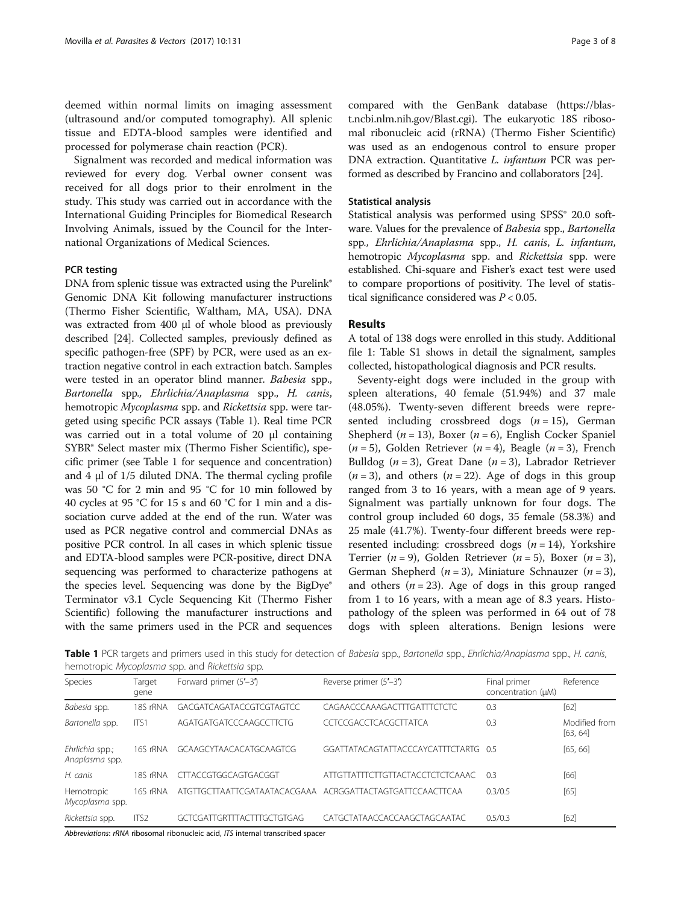deemed within normal limits on imaging assessment (ultrasound and/or computed tomography). All splenic tissue and EDTA-blood samples were identified and processed for polymerase chain reaction (PCR).

Signalment was recorded and medical information was reviewed for every dog. Verbal owner consent was received for all dogs prior to their enrolment in the study. This study was carried out in accordance with the International Guiding Principles for Biomedical Research Involving Animals, issued by the Council for the International Organizations of Medical Sciences.

## PCR testing

DNA from splenic tissue was extracted using the Purelink® Genomic DNA Kit following manufacturer instructions (Thermo Fisher Scientific, Waltham, MA, USA). DNA was extracted from 400 μl of whole blood as previously described [\[24](#page-6-0)]. Collected samples, previously defined as specific pathogen-free (SPF) by PCR, were used as an extraction negative control in each extraction batch. Samples were tested in an operator blind manner. Babesia spp., Bartonella spp., Ehrlichia/Anaplasma spp., H. canis, hemotropic *Mycoplasma* spp. and *Rickettsia* spp. were targeted using specific PCR assays (Table 1). Real time PCR was carried out in a total volume of 20 μl containing SYBR® Select master mix (Thermo Fisher Scientific), specific primer (see Table 1 for sequence and concentration) and 4 μl of 1/5 diluted DNA. The thermal cycling profile was 50 °C for 2 min and 95 °C for 10 min followed by 40 cycles at 95 °C for 15 s and 60 °C for 1 min and a dissociation curve added at the end of the run. Water was used as PCR negative control and commercial DNAs as positive PCR control. In all cases in which splenic tissue and EDTA-blood samples were PCR-positive, direct DNA sequencing was performed to characterize pathogens at the species level. Sequencing was done by the BigDye® Terminator v3.1 Cycle Sequencing Kit (Thermo Fisher Scientific) following the manufacturer instructions and with the same primers used in the PCR and sequences compared with the GenBank database [\(https://blas](https://blast.ncbi.nlm.nih.gov/Blast.cgi)[t.ncbi.nlm.nih.gov/Blast.cgi](https://blast.ncbi.nlm.nih.gov/Blast.cgi)). The eukaryotic 18S ribosomal ribonucleic acid (rRNA) (Thermo Fisher Scientific) was used as an endogenous control to ensure proper DNA extraction. Quantitative L. infantum PCR was performed as described by Francino and collaborators [[24](#page-6-0)].

## Statistical analysis

Statistical analysis was performed using SPSS® 20.0 software. Values for the prevalence of Babesia spp., Bartonella spp., Ehrlichia/Anaplasma spp., H. canis, L. infantum, hemotropic Mycoplasma spp. and Rickettsia spp. were established. Chi-square and Fisher's exact test were used to compare proportions of positivity. The level of statistical significance considered was  $P < 0.05$ .

## Results

A total of 138 dogs were enrolled in this study. Additional file [1](#page-5-0): Table S1 shows in detail the signalment, samples collected, histopathological diagnosis and PCR results.

Seventy-eight dogs were included in the group with spleen alterations, 40 female (51.94%) and 37 male (48.05%). Twenty-seven different breeds were represented including crossbreed dogs  $(n = 15)$ , German Shepherd ( $n = 13$ ), Boxer ( $n = 6$ ), English Cocker Spaniel  $(n = 5)$ , Golden Retriever  $(n = 4)$ , Beagle  $(n = 3)$ , French Bulldog ( $n = 3$ ), Great Dane ( $n = 3$ ), Labrador Retriever  $(n = 3)$ , and others  $(n = 22)$ . Age of dogs in this group ranged from 3 to 16 years, with a mean age of 9 years. Signalment was partially unknown for four dogs. The control group included 60 dogs, 35 female (58.3%) and 25 male (41.7%). Twenty-four different breeds were represented including: crossbreed dogs  $(n = 14)$ , Yorkshire Terrier  $(n = 9)$ , Golden Retriever  $(n = 5)$ , Boxer  $(n = 3)$ , German Shepherd ( $n = 3$ ), Miniature Schnauzer ( $n = 3$ ), and others  $(n = 23)$ . Age of dogs in this group ranged from 1 to 16 years, with a mean age of 8.3 years. Histopathology of the spleen was performed in 64 out of 78 dogs with spleen alterations. Benign lesions were

Table 1 PCR targets and primers used in this study for detection of Babesia spp., Bartonella spp., Ehrlichia/Anaplasma spp., H. canis, hemotropic Mycoplasma spp. and Rickettsia spp.

| Species                           | Target<br>gene   | Forward primer (5'-3')     | Reverse primer (5'-3')                                    | Final primer<br>concentration (µM) | Reference                 |
|-----------------------------------|------------------|----------------------------|-----------------------------------------------------------|------------------------------------|---------------------------|
| Babesia spp.                      | 18S rRNA         | GACGATCAGATACCGTCGTAGTCC   | CAGAACCCAAAGACTTTGATTTCTCTC                               | 0.3                                | $[62]$                    |
| Bartonella spp.                   | ITS1             | AGATGATGATCCCAAGCCTTCTG    | CCTCCGACCTCACGCTTATCA                                     | 0.3                                | Modified from<br>[63, 64] |
| Ehrlichia spp.;<br>Anaplasma spp. | 16S rRNA         | GCAAGCYTAACACATGCAAGTCG    | GGATTATACAGTATTACCCAYCATTTCTARTG 0.5                      |                                    | [65, 66]                  |
| H. canis                          | 18S rRNA         | CITACCGTGGCAGTGACGGT       | ATTGTTATTTCTTGTTACTACCTCTCTCAAAC                          | 0.3                                | [66]                      |
| Hemotropic<br>Mycoplasma spp.     | 16S rRNA         |                            | ATGTTGCTTAATTCGATAATACACGAAA ACRGGATTACTAGTGATTCCAACTTCAA | 0.3/0.5                            | $[65]$                    |
| Rickettsia spp.                   | ITS <sub>2</sub> | GCTCGATTGRTTTACTTTGCTGTGAG | CATGCTATAACCACCAAGCTAGCAATAC                              | 0.5/0.3                            | $[62]$                    |

Abbreviations: rRNA ribosomal ribonucleic acid, ITS internal transcribed spacer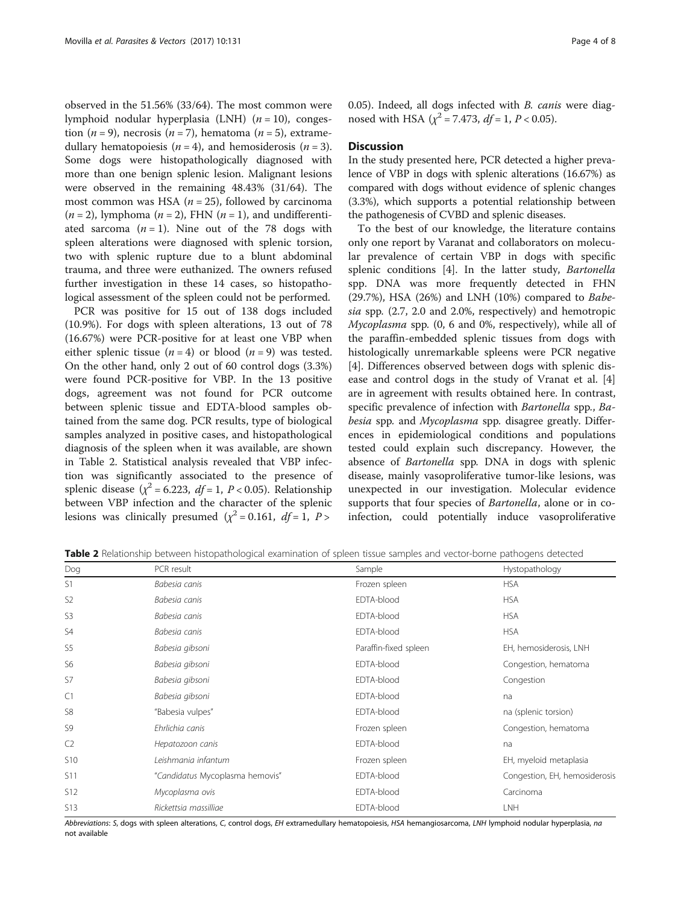observed in the 51.56% (33/64). The most common were lymphoid nodular hyperplasia (LNH)  $(n = 10)$ , congestion (*n* = 9), necrosis (*n* = 7), hematoma (*n* = 5), extramedullary hematopoiesis  $(n = 4)$ , and hemosiderosis  $(n = 3)$ . Some dogs were histopathologically diagnosed with more than one benign splenic lesion. Malignant lesions were observed in the remaining 48.43% (31/64). The most common was HSA ( $n = 25$ ), followed by carcinoma  $(n = 2)$ , lymphoma  $(n = 2)$ , FHN  $(n = 1)$ , and undifferentiated sarcoma  $(n = 1)$ . Nine out of the 78 dogs with spleen alterations were diagnosed with splenic torsion, two with splenic rupture due to a blunt abdominal trauma, and three were euthanized. The owners refused further investigation in these 14 cases, so histopathological assessment of the spleen could not be performed.

PCR was positive for 15 out of 138 dogs included (10.9%). For dogs with spleen alterations, 13 out of 78 (16.67%) were PCR-positive for at least one VBP when either splenic tissue ( $n = 4$ ) or blood ( $n = 9$ ) was tested. On the other hand, only 2 out of 60 control dogs (3.3%) were found PCR-positive for VBP. In the 13 positive dogs, agreement was not found for PCR outcome between splenic tissue and EDTA-blood samples obtained from the same dog. PCR results, type of biological samples analyzed in positive cases, and histopathological diagnosis of the spleen when it was available, are shown in Table 2. Statistical analysis revealed that VBP infection was significantly associated to the presence of splenic disease ( $\chi^2$  = 6.223, df = 1, P < 0.05). Relationship between VBP infection and the character of the splenic lesions was clinically presumed ( $\chi^2$  = 0.161, *df* = 1, *P* >

0.05). Indeed, all dogs infected with B. canis were diagnosed with HSA ( $\chi^2$  = 7.473, df = 1, P < 0.05).

## **Discussion**

In the study presented here, PCR detected a higher prevalence of VBP in dogs with splenic alterations (16.67%) as compared with dogs without evidence of splenic changes (3.3%), which supports a potential relationship between the pathogenesis of CVBD and splenic diseases.

To the best of our knowledge, the literature contains only one report by Varanat and collaborators on molecular prevalence of certain VBP in dogs with specific splenic conditions [\[4](#page-6-0)]. In the latter study, Bartonella spp. DNA was more frequently detected in FHN  $(29.7%)$ , HSA  $(26%)$  and LNH  $(10%)$  compared to *Babe*sia spp. (2.7, 2.0 and 2.0%, respectively) and hemotropic Mycoplasma spp. (0, 6 and 0%, respectively), while all of the paraffin-embedded splenic tissues from dogs with histologically unremarkable spleens were PCR negative [[4\]](#page-6-0). Differences observed between dogs with splenic disease and control dogs in the study of Vranat et al. [\[4](#page-6-0)] are in agreement with results obtained here. In contrast, specific prevalence of infection with Bartonella spp., Babesia spp. and Mycoplasma spp. disagree greatly. Differences in epidemiological conditions and populations tested could explain such discrepancy. However, the absence of Bartonella spp. DNA in dogs with splenic disease, mainly vasoproliferative tumor-like lesions, was unexpected in our investigation. Molecular evidence supports that four species of Bartonella, alone or in coinfection, could potentially induce vasoproliferative

| Dog             | PCR result                      | Sample                | Hystopathology                |  |
|-----------------|---------------------------------|-----------------------|-------------------------------|--|
| S1              | Babesia canis                   | Frozen spleen         | <b>HSA</b>                    |  |
| S <sub>2</sub>  | Babesia canis                   | EDTA-blood            | <b>HSA</b>                    |  |
| S3              | Babesia canis                   | EDTA-blood            | <b>HSA</b>                    |  |
| S <sub>4</sub>  | Babesia canis                   | EDTA-blood            | <b>HSA</b>                    |  |
| S <sub>5</sub>  | Babesia gibsoni                 | Paraffin-fixed spleen | EH, hemosiderosis, LNH        |  |
| S <sub>6</sub>  | Babesia gibsoni                 | EDTA-blood            | Congestion, hematoma          |  |
| S7              | Babesia gibsoni                 | EDTA-blood            | Congestion                    |  |
| C1              | Babesia gibsoni                 | EDTA-blood            | na                            |  |
| S <sub>8</sub>  | "Babesia vulpes"                | EDTA-blood            | na (splenic torsion)          |  |
| S <sub>9</sub>  | Ehrlichia canis                 | Frozen spleen         | Congestion, hematoma          |  |
| C <sub>2</sub>  | Hepatozoon canis                | EDTA-blood            | na                            |  |
| <b>S10</b>      | Leishmania infantum             | Frozen spleen         | EH, myeloid metaplasia        |  |
| <b>S11</b>      | "Candidatus Mycoplasma hemovis" | EDTA-blood            | Congestion, EH, hemosiderosis |  |
| S12             | Mycoplasma ovis                 | EDTA-blood            | Carcinoma                     |  |
| S <sub>13</sub> | Rickettsia massilliae           | EDTA-blood            | LNH                           |  |
|                 |                                 |                       |                               |  |

Table 2 Relationship between histopathological examination of spleen tissue samples and vector-borne pathogens detected

Abbreviations: S, dogs with spleen alterations, C, control dogs, EH extramedullary hematopoiesis, HSA hemangiosarcoma, LNH lymphoid nodular hyperplasia, na not available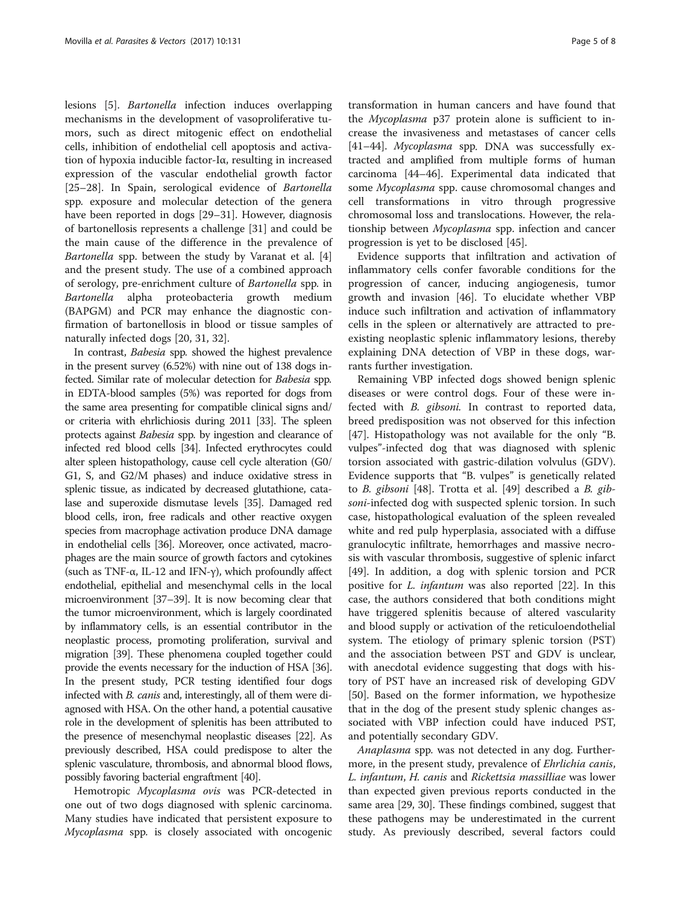lesions [[5](#page-6-0)]. Bartonella infection induces overlapping mechanisms in the development of vasoproliferative tumors, such as direct mitogenic effect on endothelial cells, inhibition of endothelial cell apoptosis and activation of hypoxia inducible factor-Iα, resulting in increased expression of the vascular endothelial growth factor [[25](#page-6-0)–[28](#page-6-0)]. In Spain, serological evidence of Bartonella spp. exposure and molecular detection of the genera have been reported in dogs [\[29](#page-6-0)–[31\]](#page-6-0). However, diagnosis of bartonellosis represents a challenge [[31](#page-6-0)] and could be the main cause of the difference in the prevalence of Bartonella spp. between the study by Varanat et al. [\[4](#page-6-0)] and the present study. The use of a combined approach of serology, pre-enrichment culture of Bartonella spp. in Bartonella alpha proteobacteria growth medium (BAPGM) and PCR may enhance the diagnostic confirmation of bartonellosis in blood or tissue samples of naturally infected dogs [[20, 31, 32\]](#page-6-0).

In contrast, Babesia spp. showed the highest prevalence in the present survey (6.52%) with nine out of 138 dogs infected. Similar rate of molecular detection for Babesia spp. in EDTA-blood samples (5%) was reported for dogs from the same area presenting for compatible clinical signs and/ or criteria with ehrlichiosis during 2011 [\[33](#page-6-0)]. The spleen protects against Babesia spp. by ingestion and clearance of infected red blood cells [\[34](#page-6-0)]. Infected erythrocytes could alter spleen histopathology, cause cell cycle alteration (G0/ G1, S, and G2/M phases) and induce oxidative stress in splenic tissue, as indicated by decreased glutathione, catalase and superoxide dismutase levels [\[35\]](#page-6-0). Damaged red blood cells, iron, free radicals and other reactive oxygen species from macrophage activation produce DNA damage in endothelial cells [\[36\]](#page-6-0). Moreover, once activated, macrophages are the main source of growth factors and cytokines (such as TNF- $\alpha$ , IL-12 and IFN- $\gamma$ ), which profoundly affect endothelial, epithelial and mesenchymal cells in the local microenvironment [[37](#page-6-0)–[39](#page-6-0)]. It is now becoming clear that the tumor microenvironment, which is largely coordinated by inflammatory cells, is an essential contributor in the neoplastic process, promoting proliferation, survival and migration [[39](#page-6-0)]. These phenomena coupled together could provide the events necessary for the induction of HSA [\[36](#page-6-0)]. In the present study, PCR testing identified four dogs infected with B. canis and, interestingly, all of them were diagnosed with HSA. On the other hand, a potential causative role in the development of splenitis has been attributed to the presence of mesenchymal neoplastic diseases [\[22\]](#page-6-0). As previously described, HSA could predispose to alter the splenic vasculature, thrombosis, and abnormal blood flows, possibly favoring bacterial engraftment [[40\]](#page-6-0).

Hemotropic Mycoplasma ovis was PCR-detected in one out of two dogs diagnosed with splenic carcinoma. Many studies have indicated that persistent exposure to Mycoplasma spp. is closely associated with oncogenic

transformation in human cancers and have found that the Mycoplasma p37 protein alone is sufficient to increase the invasiveness and metastases of cancer cells [[41](#page-6-0)–[44](#page-6-0)]. *Mycoplasma* spp. DNA was successfully extracted and amplified from multiple forms of human carcinoma [[44](#page-6-0)–[46\]](#page-7-0). Experimental data indicated that some Mycoplasma spp. cause chromosomal changes and cell transformations in vitro through progressive chromosomal loss and translocations. However, the relationship between Mycoplasma spp. infection and cancer progression is yet to be disclosed [\[45\]](#page-7-0).

Evidence supports that infiltration and activation of inflammatory cells confer favorable conditions for the progression of cancer, inducing angiogenesis, tumor growth and invasion [\[46\]](#page-7-0). To elucidate whether VBP induce such infiltration and activation of inflammatory cells in the spleen or alternatively are attracted to preexisting neoplastic splenic inflammatory lesions, thereby explaining DNA detection of VBP in these dogs, warrants further investigation.

Remaining VBP infected dogs showed benign splenic diseases or were control dogs. Four of these were infected with B. gibsoni. In contrast to reported data, breed predisposition was not observed for this infection [[47\]](#page-7-0). Histopathology was not available for the only "B. vulpes"-infected dog that was diagnosed with splenic torsion associated with gastric-dilation volvulus (GDV). Evidence supports that "B. vulpes" is genetically related to B. gibsoni [[48\]](#page-7-0). Trotta et al. [\[49](#page-7-0)] described a B. gibsoni-infected dog with suspected splenic torsion. In such case, histopathological evaluation of the spleen revealed white and red pulp hyperplasia, associated with a diffuse granulocytic infiltrate, hemorrhages and massive necrosis with vascular thrombosis, suggestive of splenic infarct [[49\]](#page-7-0). In addition, a dog with splenic torsion and PCR positive for L. infantum was also reported [\[22](#page-6-0)]. In this case, the authors considered that both conditions might have triggered splenitis because of altered vascularity and blood supply or activation of the reticuloendothelial system. The etiology of primary splenic torsion (PST) and the association between PST and GDV is unclear, with anecdotal evidence suggesting that dogs with history of PST have an increased risk of developing GDV [[50\]](#page-7-0). Based on the former information, we hypothesize that in the dog of the present study splenic changes associated with VBP infection could have induced PST, and potentially secondary GDV.

Anaplasma spp. was not detected in any dog. Furthermore, in the present study, prevalence of Ehrlichia canis, L. infantum, H. canis and Rickettsia massilliae was lower than expected given previous reports conducted in the same area [[29, 30](#page-6-0)]. These findings combined, suggest that these pathogens may be underestimated in the current study. As previously described, several factors could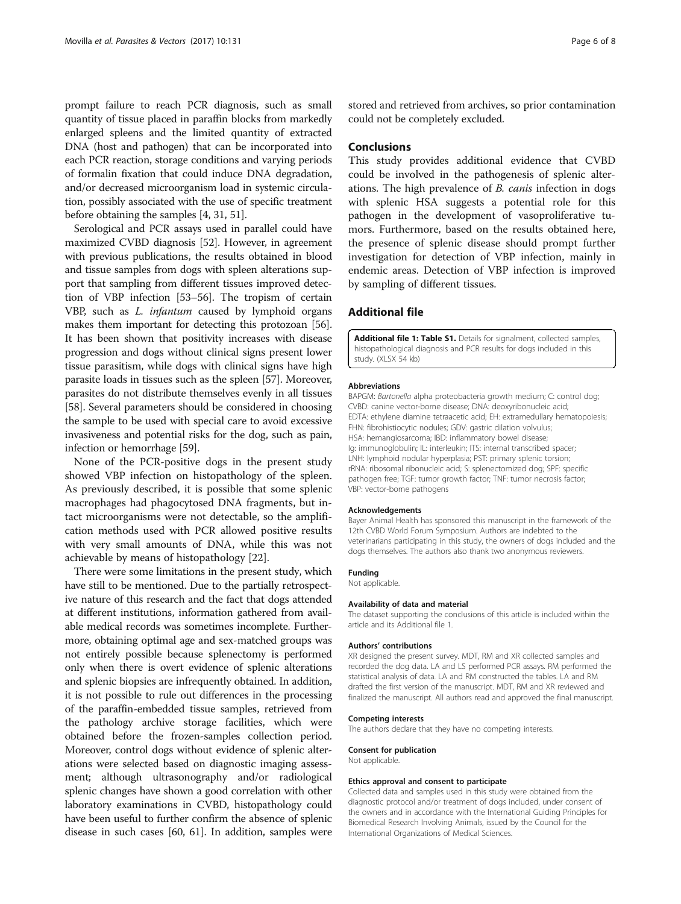<span id="page-5-0"></span>prompt failure to reach PCR diagnosis, such as small quantity of tissue placed in paraffin blocks from markedly enlarged spleens and the limited quantity of extracted DNA (host and pathogen) that can be incorporated into each PCR reaction, storage conditions and varying periods of formalin fixation that could induce DNA degradation, and/or decreased microorganism load in systemic circulation, possibly associated with the use of specific treatment before obtaining the samples [\[4](#page-6-0), [31](#page-6-0), [51\]](#page-7-0).

Serological and PCR assays used in parallel could have maximized CVBD diagnosis [[52](#page-7-0)]. However, in agreement with previous publications, the results obtained in blood and tissue samples from dogs with spleen alterations support that sampling from different tissues improved detection of VBP infection [\[53](#page-7-0)–[56](#page-7-0)]. The tropism of certain VBP, such as *L. infantum* caused by lymphoid organs makes them important for detecting this protozoan [[56](#page-7-0)]. It has been shown that positivity increases with disease progression and dogs without clinical signs present lower tissue parasitism, while dogs with clinical signs have high parasite loads in tissues such as the spleen [\[57\]](#page-7-0). Moreover, parasites do not distribute themselves evenly in all tissues [[58](#page-7-0)]. Several parameters should be considered in choosing the sample to be used with special care to avoid excessive invasiveness and potential risks for the dog, such as pain, infection or hemorrhage [[59](#page-7-0)].

None of the PCR-positive dogs in the present study showed VBP infection on histopathology of the spleen. As previously described, it is possible that some splenic macrophages had phagocytosed DNA fragments, but intact microorganisms were not detectable, so the amplification methods used with PCR allowed positive results with very small amounts of DNA, while this was not achievable by means of histopathology [\[22](#page-6-0)].

There were some limitations in the present study, which have still to be mentioned. Due to the partially retrospective nature of this research and the fact that dogs attended at different institutions, information gathered from available medical records was sometimes incomplete. Furthermore, obtaining optimal age and sex-matched groups was not entirely possible because splenectomy is performed only when there is overt evidence of splenic alterations and splenic biopsies are infrequently obtained. In addition, it is not possible to rule out differences in the processing of the paraffin-embedded tissue samples, retrieved from the pathology archive storage facilities, which were obtained before the frozen-samples collection period. Moreover, control dogs without evidence of splenic alterations were selected based on diagnostic imaging assessment; although ultrasonography and/or radiological splenic changes have shown a good correlation with other laboratory examinations in CVBD, histopathology could have been useful to further confirm the absence of splenic disease in such cases [\[60, 61](#page-7-0)]. In addition, samples were

stored and retrieved from archives, so prior contamination could not be completely excluded.

#### Conclusions

This study provides additional evidence that CVBD could be involved in the pathogenesis of splenic alterations. The high prevalence of B. canis infection in dogs with splenic HSA suggests a potential role for this pathogen in the development of vasoproliferative tumors. Furthermore, based on the results obtained here, the presence of splenic disease should prompt further investigation for detection of VBP infection, mainly in endemic areas. Detection of VBP infection is improved by sampling of different tissues.

#### Additional file

[Additional file 1: Table S1.](dx.doi.org/10.1186/s13071-017-2074-z) Details for signalment, collected samples, histopathological diagnosis and PCR results for dogs included in this study. (XLSX 54 kb)

#### Abbreviations

BAPGM: Bartonella alpha proteobacteria growth medium; C: control dog; CVBD: canine vector-borne disease; DNA: deoxyribonucleic acid; EDTA: ethylene diamine tetraacetic acid; EH: extramedullary hematopoiesis; FHN: fibrohistiocytic nodules; GDV: gastric dilation volvulus; HSA: hemangiosarcoma; IBD: inflammatory bowel disease; Ig: immunoglobulin; IL: interleukin; ITS: internal transcribed spacer; LNH: lymphoid nodular hyperplasia; PST: primary splenic torsion; rRNA: ribosomal ribonucleic acid; S: splenectomized dog; SPF: specific pathogen free; TGF: tumor growth factor; TNF: tumor necrosis factor; VBP: vector-borne pathogens

#### Acknowledgements

Bayer Animal Health has sponsored this manuscript in the framework of the 12th CVBD World Forum Symposium. Authors are indebted to the veterinarians participating in this study, the owners of dogs included and the dogs themselves. The authors also thank two anonymous reviewers.

### Funding

Not applicable.

#### Availability of data and material

The dataset supporting the conclusions of this article is included within the article and its Additional file 1.

#### Authors' contributions

XR designed the present survey. MDT, RM and XR collected samples and recorded the dog data. LA and LS performed PCR assays. RM performed the statistical analysis of data. LA and RM constructed the tables. LA and RM drafted the first version of the manuscript. MDT, RM and XR reviewed and finalized the manuscript. All authors read and approved the final manuscript.

#### Competing interests

The authors declare that they have no competing interests.

Consent for publication

Not applicable.

#### Ethics approval and consent to participate

Collected data and samples used in this study were obtained from the diagnostic protocol and/or treatment of dogs included, under consent of the owners and in accordance with the International Guiding Principles for Biomedical Research Involving Animals, issued by the Council for the International Organizations of Medical Sciences.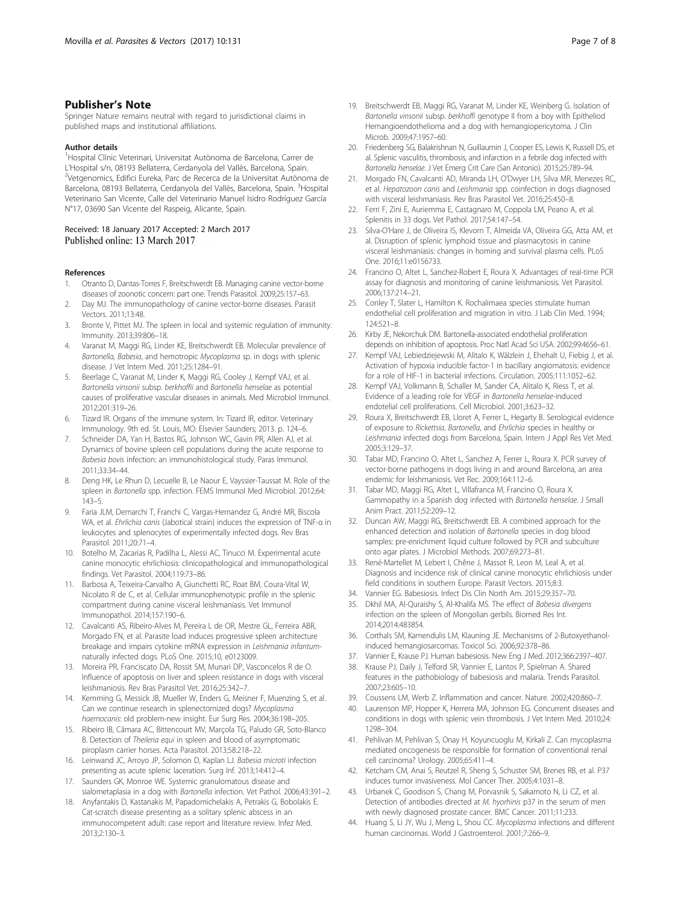## <span id="page-6-0"></span>Publisher's Note

Springer Nature remains neutral with regard to jurisdictional claims in published maps and institutional affiliations.

#### Author details

<sup>1</sup>Hospital Clínic Veterinari, Universitat Autònoma de Barcelona, Carrer de L'Hospital s/n, 08193 Bellaterra, Cerdanyola del Vallès, Barcelona, Spain. <sup>2</sup>Vetgenomics, Edifici Eureka, Parc de Recerca de la Universitat Autònoma de Barcelona, 08193 Bellaterra, Cerdanyola del Vallès, Barcelona, Spain. <sup>3</sup>Hospital Veterinario San Vicente, Calle del Veterinario Manuel Isidro Rodríguez García N°17, 03690 San Vicente del Raspeig, Alicante, Spain.

#### Received: 18 January 2017 Accepted: 2 March 2017 Published online: 13 March 2017

#### References

- 1. Otranto D, Dantas-Torres F, Breitschwerdt EB. Managing canine vector-borne diseases of zoonotic concern: part one. Trends Parasitol. 2009;25:157–63.
- 2. Day MJ. The immunopathology of canine vector-borne diseases. Parasit Vectors. 2011;13:48.
- 3. Bronte V, Pittet MJ. The spleen in local and systemic regulation of immunity. Immunity. 2013;39:806–18.
- 4. Varanat M, Maggi RG, Linder KE, Breitschwerdt EB. Molecular prevalence of Bartonella, Babesia, and hemotropic Mycoplasma sp. in dogs with splenic disease. J Vet Intern Med. 2011;25:1284–91.
- 5. Beerlage C, Varanat M, Linder K, Maggi RG, Cooley J, Kempf VAJ, et al. Bartonella vinsonii subsp. berkhoffii and Bartonella henselae as potential causes of proliferative vascular diseases in animals. Med Microbiol Immunol. 2012;201:319–26.
- Tizard IR. Organs of the immune system. In: Tizard IR, editor. Veterinary Immunology. 9th ed. St. Louis, MO: Elsevier Saunders; 2013. p. 124–6.
- Schneider DA, Yan H, Bastos RG, Johnson WC, Gavin PR, Allen AJ, et al. Dynamics of bovine spleen cell populations during the acute response to Babesia bovis infection: an immunohistological study. Paras Immunol. 2011;33:34–44.
- 8. Deng HK, Le Rhun D, Lecuelle B, Le Naour E, Vayssier-Taussat M. Role of the spleen in Bartonella spp. infection. FEMS Immunol Med Microbiol. 2012;64: 143–5.
- 9. Faria JLM, Demarchi T, Franchi C, Vargas-Hernandez G, André MR, Biscola WA, et al. Ehrlichia canis (Jabotical strain) induces the expression of TNF-α in leukocytes and splenocytes of experimentally infected dogs. Rev Bras Parasitol. 2011;20:71–4.
- 10. Botelho M, Zacarias R, Padilha L, Alessi AC, Tinucci M. Experimental acute canine monocytic ehrlichiosis: clinicopathological and immunopathological findings. Vet Parasitol. 2004;119:73–86.
- 11. Barbosa A, Teixeira-Carvalho A, Giunchetti RC, Roat BM, Coura-Vital W, Nicolato R de C, et al. Cellular immunophenotypic profile in the splenic compartment during canine visceral leishmaniasis. Vet Immunol Immunopathol. 2014;157:190–6.
- 12. Cavalcanti AS, Ribeiro-Alves M, Pereira L de OR, Mestre GL, Ferreira ABR, Morgado FN, et al. Parasite load induces progressive spleen architecture breakage and impairs cytokine mRNA expression in Leishmania infantumnaturally infected dogs. PLoS One. 2015;10, e0123009.
- 13. Moreira PR, Franciscato DA, Rossit SM, Munari DP, Vasconcelos R de O. Influence of apoptosis on liver and spleen resistance in dogs with visceral leishmaniosis. Rev Bras Parasitol Vet. 2016;25:342–7.
- 14. Kemming G, Messick JB, Mueller W, Enders G, Meisner F, Muenzing S, et al. Can we continue research in splenectomized dogs? Mycoplasma haemocanis: old problem-new insight. Eur Surg Res. 2004;36:198–205.
- 15. Ribeiro IB, Câmara AC, Bittencourt MV, Marçola TG, Paludo GR, Soto-Blanco B. Detection of Theileria equi in spleen and blood of asymptomatic piroplasm carrier horses. Acta Parasitol. 2013;58:218–22.
- 16. Leinwand JC, Arroyo JP, Solomon D, Kaplan LJ. Babesia microti infection presenting as acute splenic laceration. Surg Inf. 2013;14:412–4.
- 17. Saunders GK, Monroe WE. Systemic granulomatous disease and sialometaplasia in a dog with Bartonella infection. Vet Pathol. 2006;43:391–2.
- 18. Anyfantakis D, Kastanakis M, Papadomichelakis A, Petrakis G, Bobolakis E. Cat-scratch disease presenting as a solitary splenic abscess in an immunocompetent adult: case report and literature review. Infez Med. 2013;2:130–3.
- 19. Breitschwerdt EB, Maggi RG, Varanat M, Linder KE, Weinberg G. Isolation of Bartonella vinsonii subsp. berkhoffi genotype II from a boy with Epitheliod Hemangioendothelioma and a dog with hemangiopericytoma. J Clin Microb. 2009;47:1957–60.
- 20. Friedenberg SG, Balakrishnan N, Guillaumin J, Cooper ES, Lewis K, Russell DS, et al. Splenic vasculitis, thrombosis, and infarction in a febrile dog infected with Bartonella henselae. J Vet Emerg Crit Care (San Antonio). 2015;25:789–94.
- 21. Morgado FN, Cavalcanti AD, Miranda LH, O'Dwyer LH, Silva MR, Menezes RC, et al. Hepatozoon canis and Leishmania spp. coinfection in dogs diagnosed with visceral leishmaniasis. Rev Bras Parasitol Vet. 2016;25:450–8.
- 22. Ferri F, Zini E, Auriemma E, Castagnaro M, Coppola LM, Peano A, et al. Splenitis in 33 dogs. Vet Pathol. 2017;54:147–54.
- 23. Silva-O'Hare J, de Oliveira IS, Klevorn T, Almeida VA, Oliveira GG, Atta AM, et al. Disruption of splenic lymphoid tissue and plasmacytosis in canine visceral leishmaniasis: changes in homing and survival plasma cells. PLoS One. 2016;11:e0156733.
- 24. Francino O, Altet L, Sanchez-Robert E, Roura X. Advantages of real-time PCR assay for diagnosis and monitoring of canine leishmaniosis. Vet Parasitol. 2006;137:214–21.
- 25. Conley T, Slater L, Hamilton K. Rochalimaea species stimulate human endothelial cell proliferation and migration in vitro. J Lab Clin Med. 1994; 124:521–8.
- 26. Kirby JE, Nekorchuk DM. Bartonella-associated endothelial proliferation depends on inhibition of apoptosis. Proc Natl Acad Sci USA. 2002;99:4656–61.
- 27. Kempf VAJ, Lebiedziejewski M, Alitalo K, Wälzlein J, Ehehalt U, Fiebig J, et al. Activation of hypoxia inducible factor-1 in bacillary angiomatosis: evidence for a role of HIF-1 in bacterial infections. Circulation. 2005;111:1052–62.
- 28. Kempf VAJ, Volkmann B, Schaller M, Sander CA, Alitalo K, Riess T, et al. Evidence of a leading role for VEGF in Bartonella henselae-induced endotelial cell proliferations. Cell Microbiol. 2001;3:623–32.
- 29. Roura X, Breitschwerdt EB, Lloret A, Ferrer L, Hegarty B. Serological evidence of exposure to Rickettsia, Bartonella, and Ehrlichia species in healthy or Leishmania infected dogs from Barcelona, Spain. Intern J Appl Res Vet Med. 2005;3:129–37.
- 30. Tabar MD, Francino O, Altet L, Sanchez A, Ferrer L, Roura X. PCR survey of vector-borne pathogens in dogs living in and around Barcelona, an area endemic for leishmaniosis. Vet Rec. 2009;164:112–6.
- 31. Tabar MD, Maggi RG, Altet L, Villafranca M, Francino O, Roura X. Gammopathy in a Spanish dog infected with Bartonella henselae. J Small Anim Pract. 2011;52:209–12.
- 32. Duncan AW, Maggi RG, Breitschwerdt EB. A combined approach for the enhanced detection and isolation of Bartonella species in dog blood samples: pre-enrichment liquid culture followed by PCR and subculture onto agar plates. J Microbiol Methods. 2007;69:273–81.
- 33. René-Martellet M, Lebert I, Chêne J, Massot R, Leon M, Leal A, et al. Diagnosis and incidence risk of clinical canine monocytic ehrlichiosis under field conditions in southern Europe. Parasit Vectors. 2015;8:3.
- 34. Vannier EG. Babesiosis. Infect Dis Clin North Am. 2015;29:357–70.
- 35. Dkhil MA, Al-Quraishy S, Al-Khalifa MS. The effect of Babesia divergens infection on the spleen of Mongolian gerbils. Biomed Res Int. 2014;2014:483854.
- 36. Corthals SM, Kamendulis LM, Klauning JE. Mechanisms of 2-Butoxyethanolinduced hemangiosarcomas. Toxicol Sci. 2006;92:378–86.
- 37. Vannier E, Krause PJ. Human babesiosis. New Eng J Med. 2012;366:2397–407.
- 38. Krause PJ, Daily J, Telford SR, Vannier E, Lantos P, Spielman A. Shared features in the pathobiology of babesiosis and malaria. Trends Parasitol. 2007;23:605–10.
- 39. Coussens LM, Werb Z. Inflammation and cancer. Nature. 2002;420:860–7.
- 40. Laurenson MP, Hopper K, Herrera MA, Johnson EG. Concurrent diseases and conditions in dogs with splenic vein thrombosis. J Vet Intern Med. 2010;24: 1298–304.
- 41. Pehlivan M, Pehlivan S, Onay H, Koyuncuoglu M, Kirkali Z. Can mycoplasma mediated oncogenesis be responsible for formation of conventional renal cell carcinoma? Urology. 2005;65:411–4.
- 42. Ketcham CM, Anai S, Reutzel R, Sheng S, Schuster SM, Brenes RB, et al. P37 induces tumor invasiveness. Mol Cancer Ther. 2005;4:1031–8.
- 43. Urbanek C, Goodison S, Chang M, Porvasnik S, Sakamoto N, Li CZ, et al. Detection of antibodies directed at M. hyorhinis p37 in the serum of men with newly diagnosed prostate cancer. BMC Cancer. 2011;11:233.
- 44. Huang S, Li JY, Wu J, Meng L, Shou CC. Mycoplasma infections and different human carcinomas. World J Gastroenterol. 2001;7:266–9.